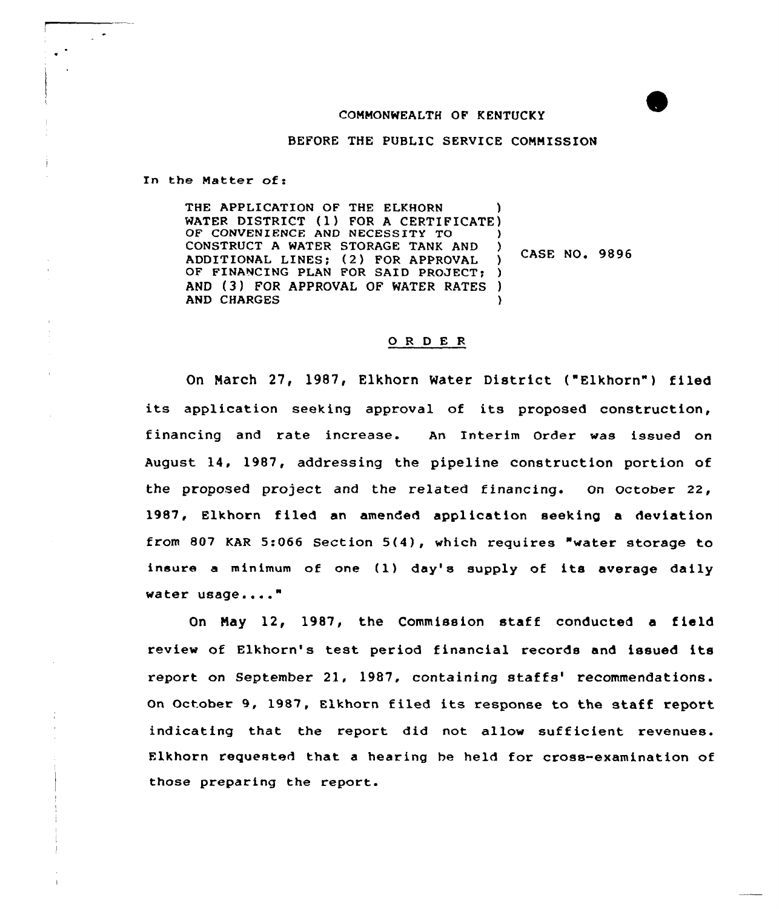#### COMMONWEALTH OF KENTUCKY

BEFORE THE PUBLIC SERVICE COMMISSION

In the Matter of:

THE APPLICATION OF THE ELKHORN WATER DISTRICT (1) FOR <sup>A</sup> CERTIFICATE) OF CONVENIENCE AND NECESSITY TO CONSTRUCT <sup>A</sup> WATER STORAGE TANK AND ) ADDITIONAL LINES; (2) FOR APPROVAL )<br>OF FINANCING PLAN FOR SAID PROJECT: ) OF FINANCING PLAN FOR SAID PROJECT: AND (3) FOR APPROVAL OF WATER RATES ) **AND CHARGES** CASE NO. 9896

#### 0 <sup>R</sup> <sup>D</sup> E <sup>R</sup>

On March 27, 1987, Elkhorn Water District ("Elkhorn") filed its application seeking approval of its proposed construction, financing and rate increase. An Interim Order was issued on August 14. 1987, addressing the pipeline construction portion of the proposed project and the related financing. on october 22, 1987, Elkhorn filed an amended application seeking a deviation from 807 KAR 5:066 Section 5(4), which requires "water storage to insure <sup>a</sup> minimum of one (1) day's supply of its average daily water usage...."

On May 12, 1987, the Commission staff conducted <sup>a</sup> field review of Elkhorn's test period financial records and issued its report on September 21, 1987, containing staffs' recommendations. On October 9, 1987, Elkhorn filed its response to the staff report indicating that the report did not allow sufficient revenues. Elkhorn requested that a hearing he held for cross-examination of those preparing the report.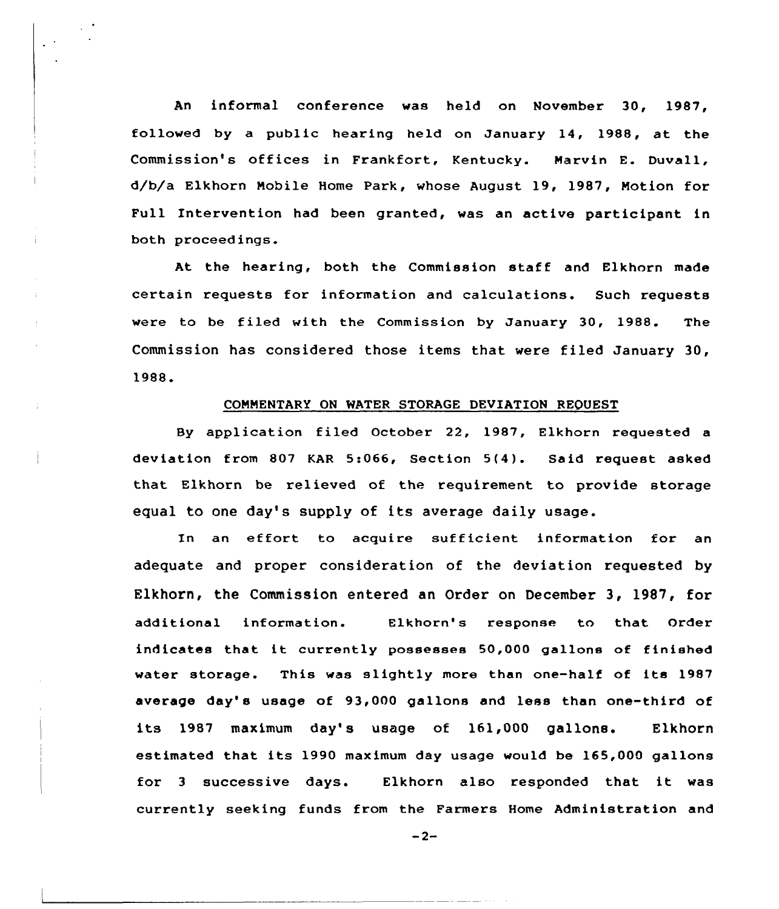An informal conference was held on November 30, 1987, followed by a public hearing held on January 14, 1988, at the Commission's offices in Frankfort, Kentucky. Marvin E. Duvall, d/b/a Elkhorn Mobile Home Park, whose August 19, 1987, Motion for Full Intervention had been granted, was an active participant in both proceedings.

At the hearing, both the Commission staff and Elkhorn made certain requests for information and calculations. Such requests were to be filed with the Commission by January 30, 1988. The Commission has considered those items that were filed January 30, 1988.

### COMMENTARY ON WATER STORAGE DEUIATION REQUEST

By application filed October 22, 1987, Elkhorn requested a deviation from 807 KAR 5:066, Section 5(4). Said request asked that Elkhorn be relieved of the requirement to provide storage equal to one day's supply of its average daily usage.

In an effort to acquire sufficient information for an adequate and proper consideration of the deviation requested by Elkhorn, the Commission entered an Order on December 3, 1987, for additional information. Elkhorn's response to that Order indicates that it currently possesses 50,000 gallons of finished water storage. This was slightly more than one-half of its 1987 average day' usage of 93,000 gallons and less than one-third of its 1987 maximum day's usage of 161,000 gallons. Elkhorn estimated that its 1990 maximum day usage would be 165,000 gallons for <sup>3</sup> successive days. Elkhorn also responded that it was currently seeking funds from the Farmers Home Administration and

 $-2-$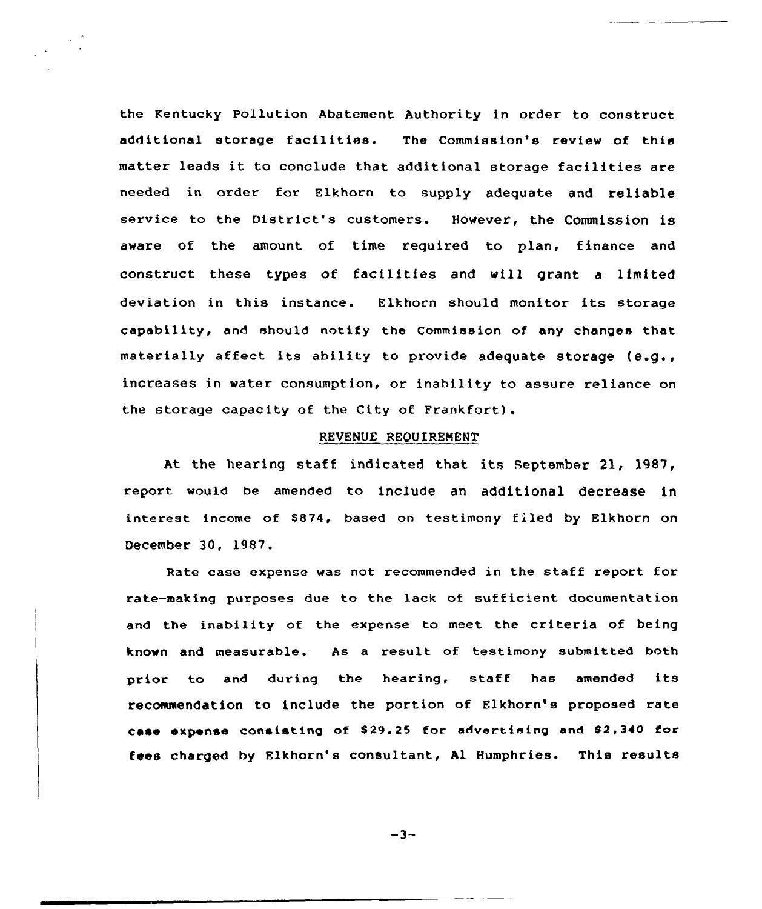the Rentucky Pollution Abatement Authority in order to construct additional storage facilities. The Commission's review of this matter leads it to conclude that additional storage facilities are needed in order for Elkhorn to supply adequate and reliable service to the District's customers. Hovever, the Commission is aware of the amount of time required to plan, finance and construct these types of facilities and will grant <sup>a</sup> limited deviation in this instance. Elkhorn should monitor its storage capability, and should notify the Commission of any changes that materially affect its ability to provide adequate storage  $(e.g.,)$ increases in water consumption, or inability to assure reliance on the storage capacity of the City of Frankfort).

### REVENUE REQUIREMENT

At the hearing staff indicated that its september 21, 1987, report would be amended to include an additional decrease in interest income of \$874, based on testimony filed by Elkhorn on December 3Q, l9S7.

Rate case expense was not recommended in the staff report for rate-making purposes due to the lack of sufficient documentation and the inability of the expense to meet the criteria of being known and measurable. As a result of testimony submitted both prior to and during the hearing, staff has amended its recommendation to include the portion of Elkhorn's proposed rate case expense consisting of \$29.25 for advertising and \$2,340 for fees charged by Elkhorn's consultant, Al Humphries. This results

 $-3-$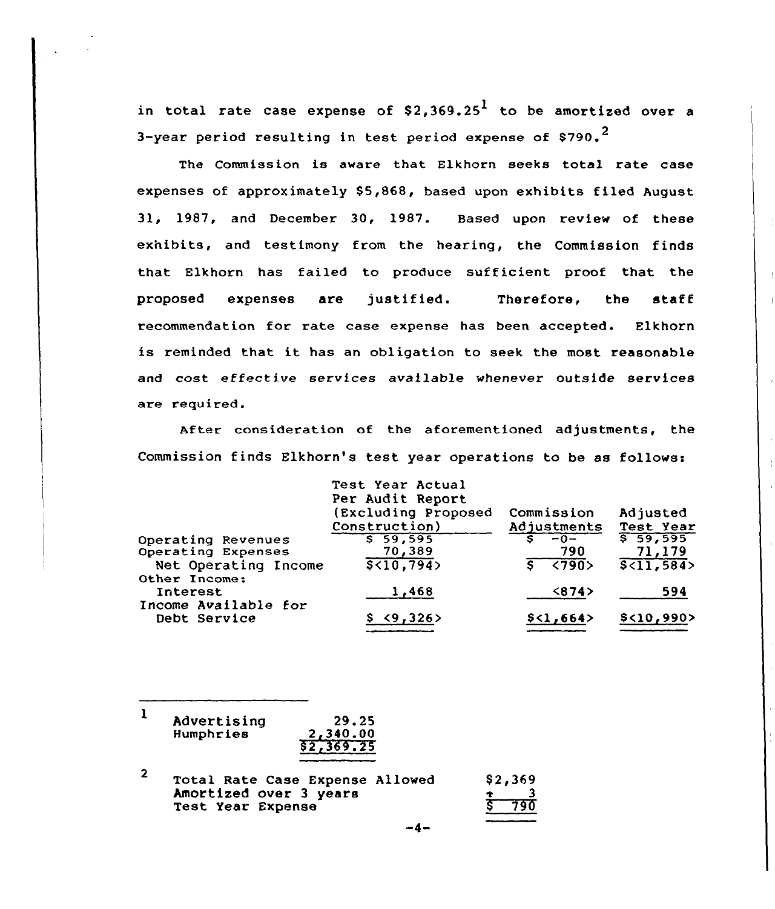in total rate case expense of \$2,369.25 $^{\rm l}$  to be amortized over a 3-year period resulting in test period expense of  $$790.<sup>2</sup>$ 

The Commission is aware that Elkhorn seeks total rate case expenses of approximately \$5,868, based upon exhibits filed August 31, 1987, and December 30, 1987. Based upon review of these exhibits, and testimony from the hearing, the Commission finds that Elkhorn has failed to produce sufficient proof that the proposed expenses are justified. Therefore, the staff recommendation for rate case expense has been accepted. Elkhorn is reminded that it has an obligation to seek the most reasonable and cost effective services available whenever outside services are required.

After consideration of the aforementioned adjustments, the Commission finds Elkhorn's test year operations to be as follows:

|                      | Test Year Actual<br>Per Audit Report |                                  |                  |
|----------------------|--------------------------------------|----------------------------------|------------------|
|                      | (Excluding Proposed                  | Commission                       | Adjusted         |
|                      | Construction)                        | Adjustments                      | Test Year        |
| Operating Revenues   | \$59,595                             | $-0-$<br>s                       | 559,595          |
| Operating Expenses   | 70,389                               | 790                              | 71,179           |
| Net Operating Income | $\sqrt{5}$ <10,794>                  | $\overline{\langle 790 \rangle}$ | $\sqrt{211,584}$ |
| Other Income:        |                                      |                                  |                  |
| Interest             | 1,468                                | $\langle 874 \rangle$            | 594              |
| Income Available for |                                      |                                  |                  |
| Debt Service         | <9,326                               | \$<1,664>                        | $$<$ 10,990>     |
|                      |                                      |                                  |                  |

| Advertising | 29.25      |
|-------------|------------|
| Humphries   | 2,340.00   |
|             | \$2,369.25 |

| 2 | Total Rate Case Expense Allowed |  | \$2,369            |
|---|---------------------------------|--|--------------------|
|   | Amortized over 3 years          |  |                    |
|   | Test Year Expense               |  | $\overline{5}$ 790 |

$$
-4-
$$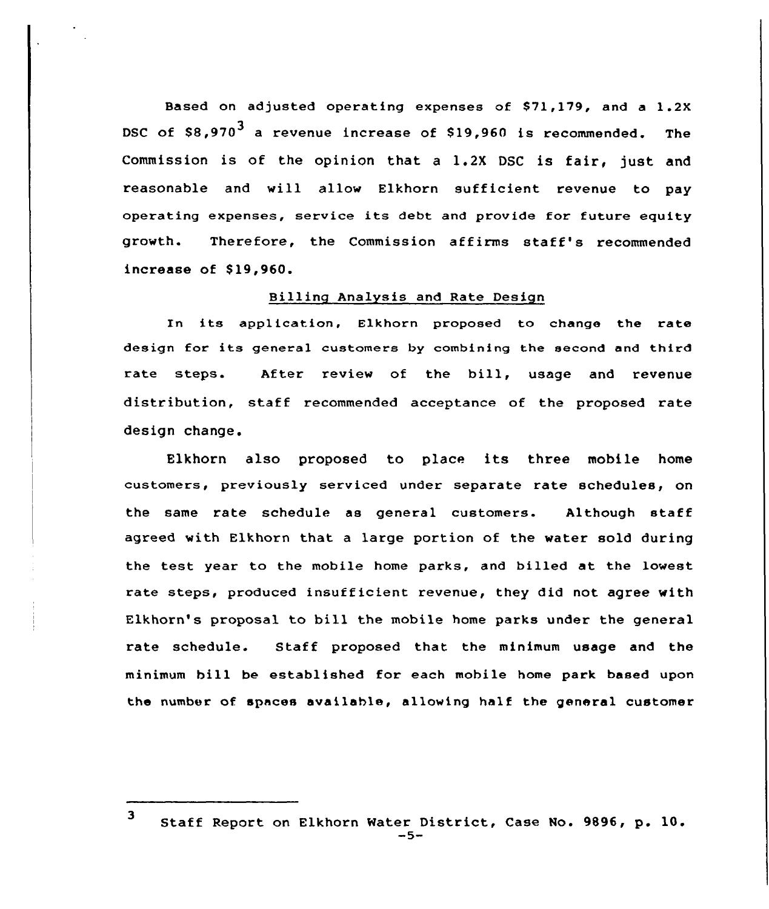Based on adjusted operating expenses of \$71,179, and a 1.2X DSC of  $$8,970^3$  a revenue increase of  $$19,960$  is recommended. The Commission is of the opinion that <sup>a</sup> 1.2X DSC is fair, just and reasonable and will allow Elkhorn sufficient revenue to pay operating expenses, service its debt and provide for future eguity growth. Therefore, the Commission affirms staff's recommended increase of \$19,960.

## Billing Analysis and Rate Design

In its application, Elkhorn proposed to change the rate design for its general customers by combining the second and third rate steps. After review of the bill, usage and revenue distribution, staff recommended acceptance of the proposed rate design change.

Elkhorn also proposed to place its three mobile home customers, previously serviced under separate rate schedules, on the same rate schedule as general customers. Although staff agreed with Elkhorn that a large portion of the water sold during the test year to the mobile home parks, and billed at the lowest rate steps, produced insufficient revenue, they did not agree with Elkhorn's proposal to bill the mobile home parks under the general rate schedule. Staff proposed that the minimum usage and the minimum hill be established for each mobile home park based upon the number of spaces available, allowing half the general customer

<sup>3</sup> Staff Report on Elkhorn Water District, Case No. 9896, p. 10.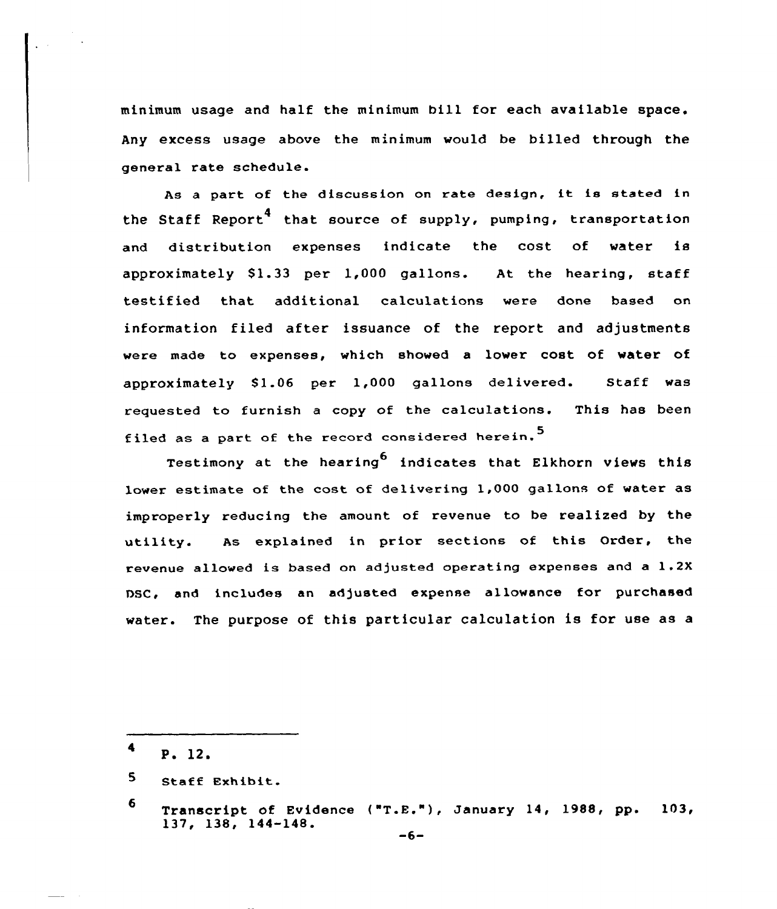minimum usage and half the minimum bill for each available space. Any excess usage above the minimum would be billed through the general rate schedule.

As <sup>a</sup> part of the discussion on rate design, it is stated in the Staff Report<sup>4</sup> that source of supply, pumping, transportation and distribution expenses indicate the cost of water is approximately S1.33 per 1,000 gallons. At the hearing, staff testified that additional calculations were done based on information filed after issuance of the report and adjustments vere made to expenses, which showed a lower cost of water of approximately 81.06 per 1,000 gallons delivered. Staff was requested to furnish a copy of the calculations. This has been filed as a part of the record considered herein.<sup>5</sup>

Testimony at the hearing indicates that Elkhorn views this lower estimate of the cost of delivering 1,000 gallons of water as improperly reducing the amount of revenue to be realized by the utility. As explained in prior sections of this Order, the revenue allowed is based on adjusted operating expenses and a 1.2X DSC, and includes an adjusted expense allowance for purchased water. The purpose of this particular calculation is for use as a

- $4$  P. 12.
- 5. Staff Exhibit.

<sup>6</sup> Transcript of Evidence ("T.E."),January 14, 1988, pp. 103,  $137, 138, 144-148.$  -6-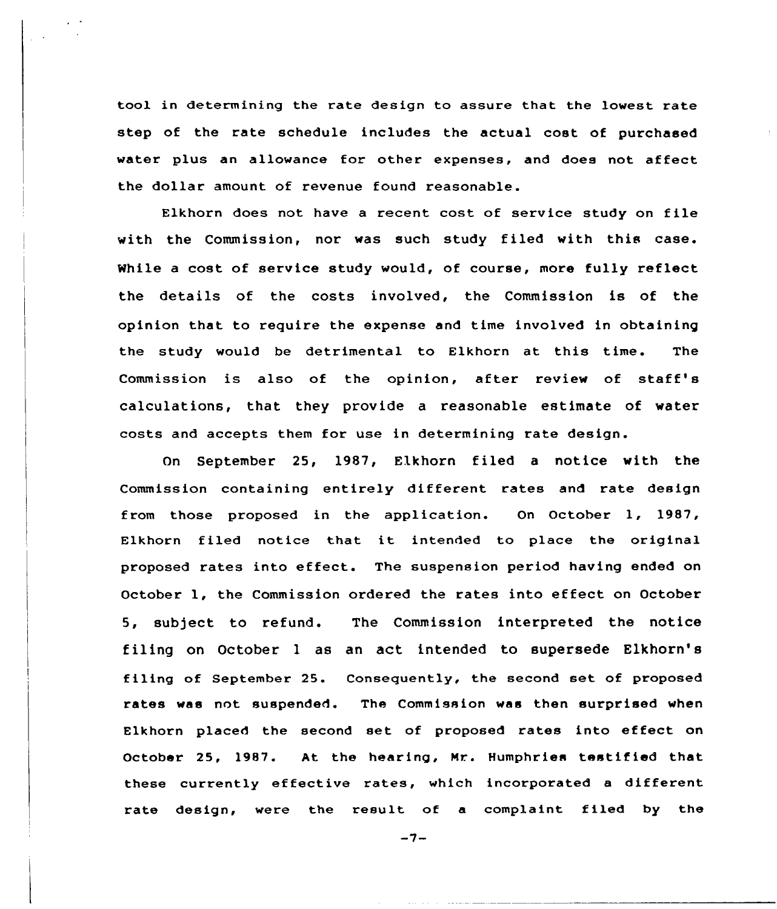tool in determining the rate design to assure that the lowest rate step of the rate schedule includes the actual cost of purchased water plus an allowance for other expenses, and does not affect the dollar amount of revenue found reasonable.

Elkhorn does not have <sup>a</sup> recent cost of service study on file with the Commission, nor was such study filed with this case. While a cost of service study would, of course, more fully reflect the details of the costs involved, the Commission is of the opinion that to require the expense and time involved in obtaining the study would be detrimental to Elkhorn at this time. The Commission is also of the opinion, after review of staff' calculations, that they provide a reasonable estimate of water costs and accepts them for use in determining rate design.

On September 25, 1987, Elkhorn filed a notice with the Commission containing entirely different rates and rate design from those proposed in the application. On October 1, 1987, Elkhorn filed notice that it intended to place the original proposed rates into effect. The suspension period having ended on October 1, the Commission ordered the rates into effect on October 5, subject to refund. The Commission interpreted the notice filing on October <sup>1</sup> as an act intended to supersede Elkhorn's filing of September 25. Consequently, the second set of proposed rates was not suspended. The Commission was then surprised when Elkhorn placed the second set of proposed rates into effect on October 25, 1987. At the hearing, Nr. Humphries testified that these currently effective rates, which incorporated <sup>a</sup> different rate design, were the result of a complaint filed by the

 $-7-$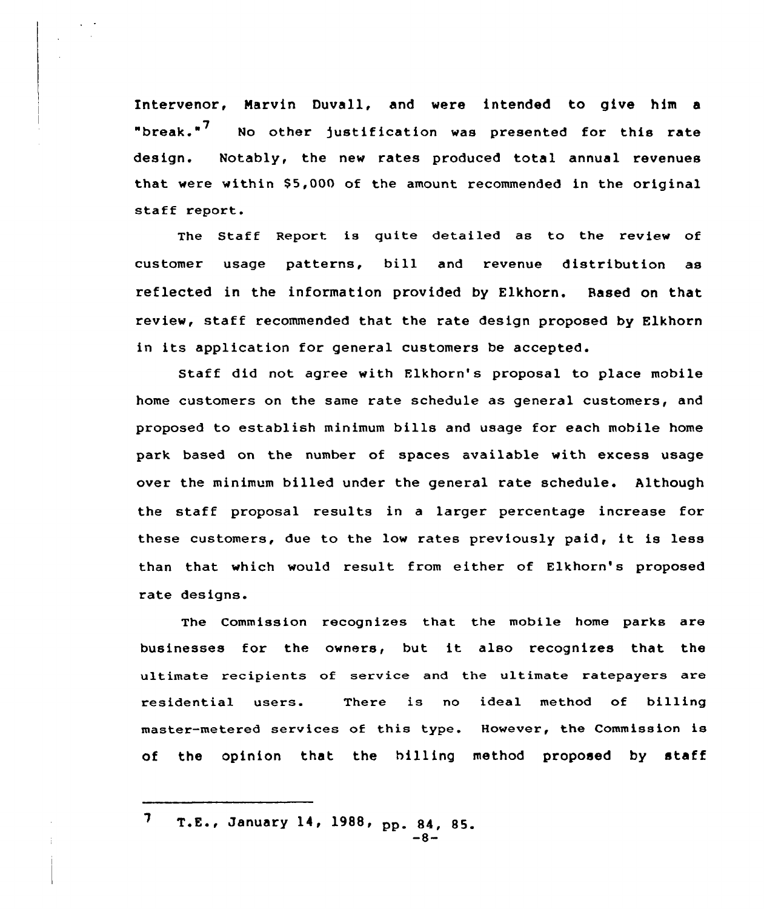Intervenor, Marvin Duvall, and were intended to give him a "break."<sup>'</sup> No other justification was presented for this rate design. Notably, the new rates produced total annual revenues that were within \$5,000 of the amount recommended in the original staff report.

The Staff Report is quite detailed as to the review of customer usage patterns, bill and revenue distribution as reflected in the information provided by Elkhorn. Based on that review, staff recommended that the rate design proposed by Elkhorn in its application for general customers be accepted.

Staff did not agree with Flkhorn's proposal to place mobile home customers on the same rate schedule as general customers, and proposed to establish minimum bills and usage for each mobile home park based on the number of spaces available with excess usage over the minimum billed under the general rate schedule. Although the staff proposal results in <sup>a</sup> larger percentage increase for these customers, due to the low rates previously paid, it is less than that which would result from either of Elkhorn's proposed rate designs.

The Commission recognizes that the mobile home parks are businesses for the owners, but it also recognizes that the ultimate recipients of service and the ultimate ratepayers are residential users. There is no ideal method of billing master-metered services of this type. However, the Commission is of the opinion that the billing method proposed by staff

7 T.E., January 14, 1988, pp. 84, 85.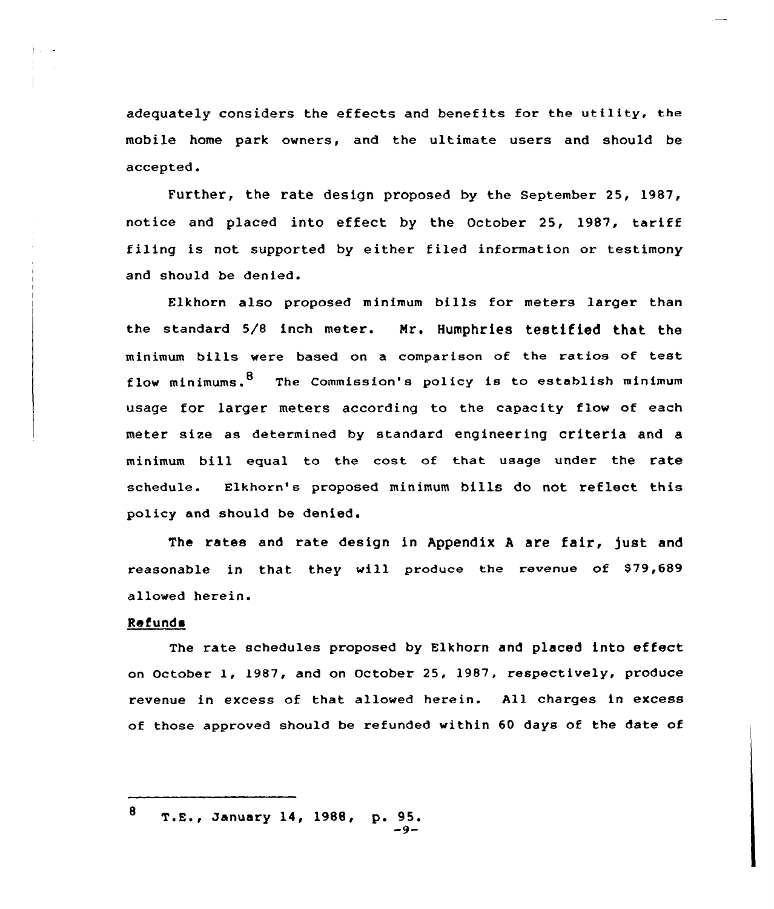adequately considers the effects and benefits for the utility, the mobile home park owners, and the ultimate users and should be accepted.

Further, the rate design proposed by the September 25, 1987, notice and placed into effect by the October 25, 1987, tariff filing is not supported by either filed information or testimony and should be denied.

ELkhorn also proposed minimum bills for meters larger than the standard 5/8 inch meter. Mr. Humphries testified that the minimum bills were based on <sup>a</sup> comparison of the ratios of test flow minimums.  $8$  The Commission's policy is to establish minimum usage for larger meters according to the capacity flow of each meter size as determined by standard engineering criteria and a minimum bill equal to the cost of that usage under the rate schedule. Elkhorn's proposed minimum bills do not reflect this policy and should be denied.

The rates and rate design in Appendix <sup>A</sup> are fair, fust and reasonable in that they vill produce the revenue of \$79,689 allowed herein.

# Refunda

The rate schedules proposed by Elkhorn and placed into effect on October 1, 1987, and on October 25, 1987, respectively, produce revenue in excess of that allowed herein. All charges in excess of those approved should be refunded within 60 days of the date of

<sup>8</sup> T.E., January 14, 1988, p. 95.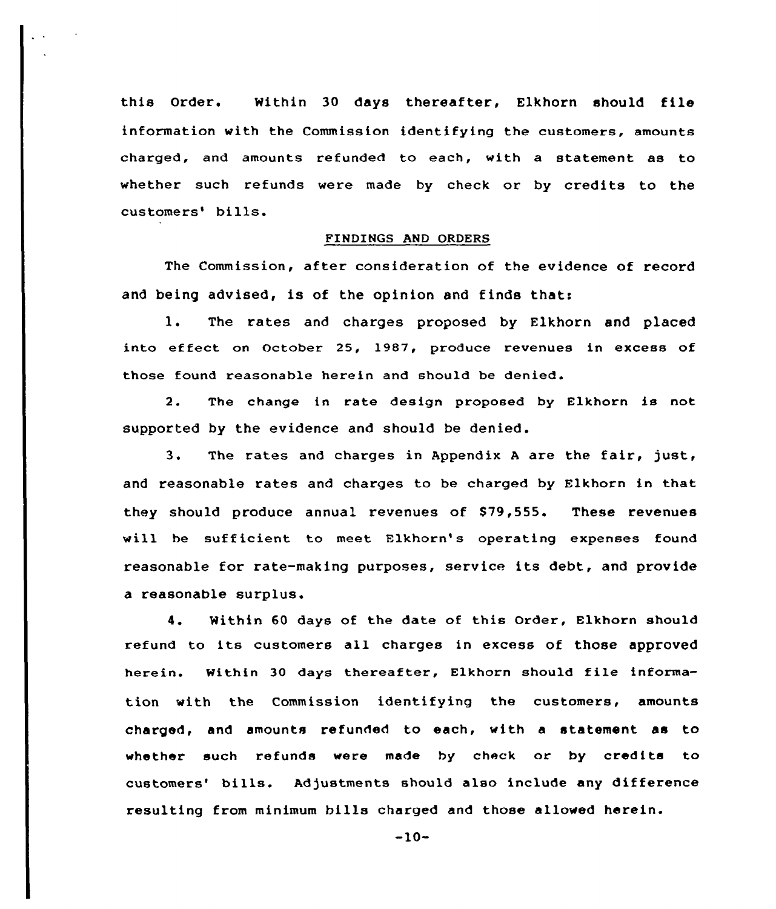this Order. Within 30 days thereafter, Elkhorn should file information with the Commission identifying the customers, amounts charged, and amounts refunded to each, with a statement as to whether such refunds were made by check or by credits to the customers' bills.

### FINDINGS AND ORDERS

The Commission, after consideration of the evidence of record and being advised, is of the opinion and finds that:

1. The rates and charges proposed by Elkhorn and placed into effect on October 25, 1987, produce revenues in excess of those found reasonable herein and should be denied.

2. The change in rate design proposed by Elkhorn is not supported by the evidence and should be denied.

3. The rates and charges in Appendix <sup>A</sup> are the fair, just, and reasonable rates and charges to be charged by Elkhorn in that they should produce annual revenues of 879,555. These revenues will he sufficient to meet Flkhorn's operating expenses found reasonable for rate-making purposes, service its debt, and provide a reasonable surplus.

4. Within 60 days of the date of this Order, Elkhorn should refund to its customers all charges in excess of those approved herein. Within 30 days thereafter, Elkhorn should file information with the Commission identifying the customers, amounts charged, and amounts refunded to each, with a statement as to whether such refunds were made by check or by credits to customers' bills. Adjustments should also include any difference resulting from minimum bills charged and those allowed herein.

 $-10-$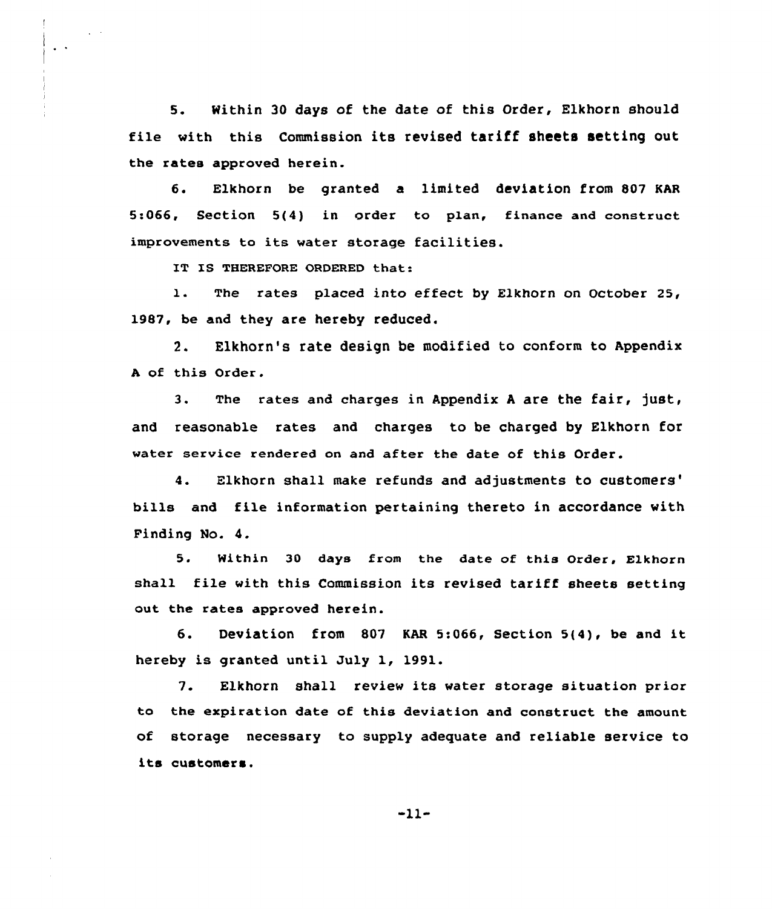S. Within 30 days of the date of this Order, Elkhorn should file with this Commission its revised tariff sheets setting out the rates approved herein.

6. Elkhorn be granted a limited deviation from 807 KAR 5:066, Section 5(4) in order to p1an, finance and construct improvements ta its water storage facilities.

IT IS THEREFORE ORDERED that:

l. The rates placed into effect by Elkhorn on October 25, 1987, be and they are hereby reduced.

2. Elkhorn's rate design be modified to conform to Appendix <sup>A</sup> of this Order.

3. The rates and charges in Appendix <sup>A</sup> are the fair, just, and reasonable rates and charges to be charged by Elkhorn for water service rendered on and after the date of this Order.

4. Elkhorn shall make refunds and adjustments to customers' bills and file information pertaining thereto in accordance with Finding No. 4.

5. Within 30 days from the date of this Order, Elkhorn shall file with this Commission its revised tariff sheets setting out the rates approved herein.

6. Deviation from <sup>807</sup> KAR 5:066, Section 5(4), be and it hereby is granted until July 1, 1991.

7. Elkhorn shall review its water storage situation prior to the expiration date of this deviation and construct the amount of storage necessary to supply adequate and reliable service to its customers.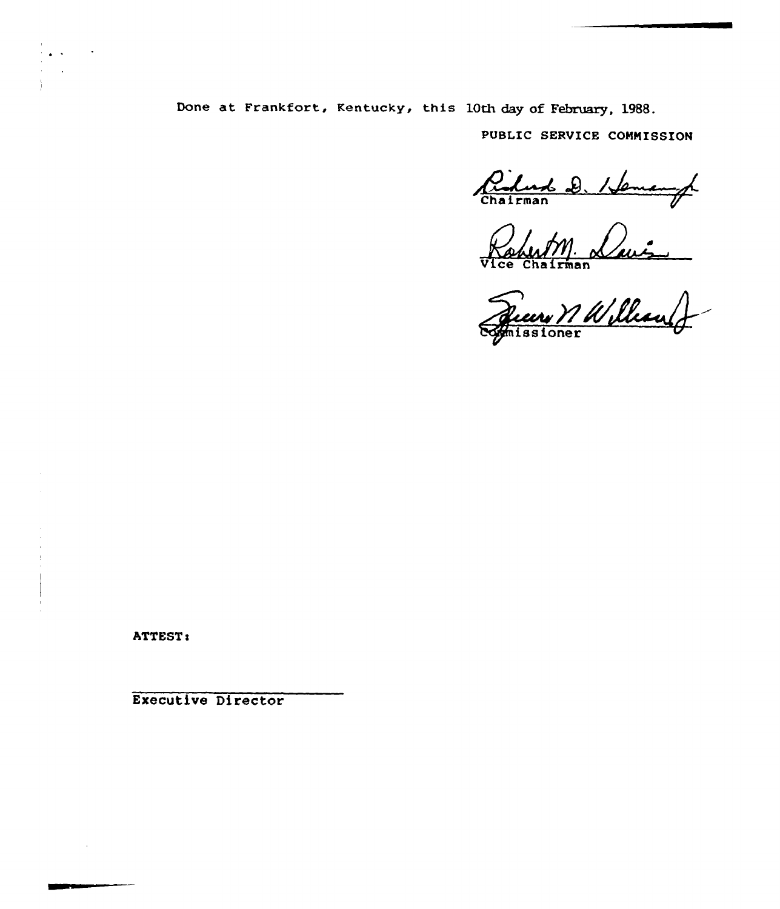Done at Frankfort, Kentucky, this 10th day of February, 19B8.

PUBLIC SERVICE COMMISSION

Pidad D. Hemangh

Vice Chairma

issione

ATTEST:

Executive Director